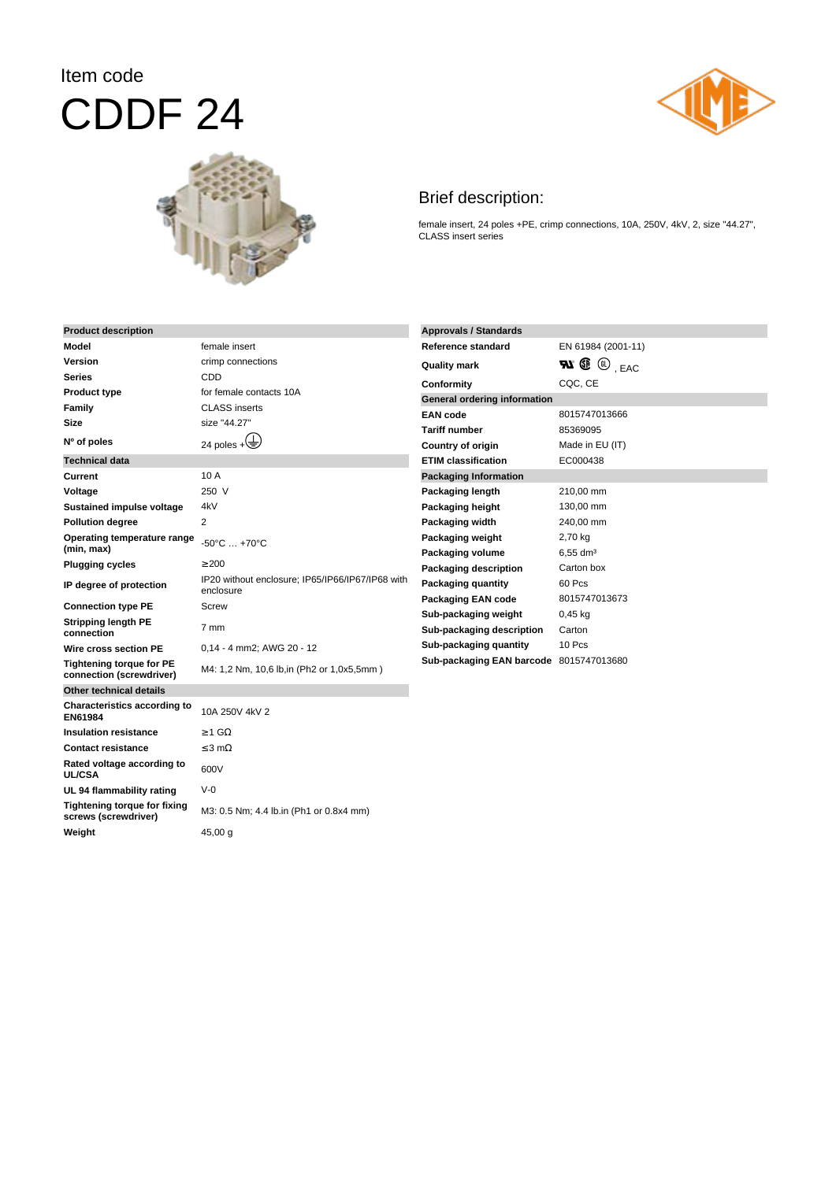## Item code CDDF 24





## Brief description:

female insert, 24 poles +PE, crimp connections, 10A, 250V, 4kV, 2, size "44.27", CLASS insert series

| <b>Product description</b>                                  |                                                               | <b>Approvals / Standards</b>                      |                                                     |
|-------------------------------------------------------------|---------------------------------------------------------------|---------------------------------------------------|-----------------------------------------------------|
| <b>Model</b>                                                | female insert                                                 | Reference standard                                | EN 61984 (2001-11)                                  |
| Version                                                     | crimp connections                                             | <b>Quality mark</b>                               | $\mathbf{N} \mathbf{C} \mathbf{C}$ <sub>, EAC</sub> |
| <b>Series</b>                                               | <b>CDD</b>                                                    | Conformity                                        | CQC, CE                                             |
| <b>Product type</b>                                         | for female contacts 10A                                       | General ordering information                      |                                                     |
| Family                                                      | <b>CLASS</b> inserts                                          | <b>EAN</b> code                                   | 8015747013666                                       |
| Size                                                        | size "44.27"                                                  | <b>Tariff number</b>                              | 85369095                                            |
| Nº of poles                                                 | 24 poles $+\left(\frac{1}{2}\right)$                          | <b>Country of origin</b>                          | Made in EU (IT)                                     |
| <b>Technical data</b>                                       |                                                               | <b>ETIM classification</b>                        | EC000438                                            |
| Current                                                     | 10A                                                           | <b>Packaging Information</b>                      |                                                     |
| Voltage                                                     | 250 V                                                         | Packaging length                                  | 210,00 mm                                           |
| Sustained impulse voltage                                   | 4kV                                                           | Packaging height                                  | 130,00 mm                                           |
| <b>Pollution degree</b>                                     | 2                                                             | Packaging width                                   | 240,00 mm                                           |
| Operating temperature range<br>(min, max)                   | $-50^{\circ}$ C  +70 $^{\circ}$ C                             | Packaging weight<br>Packaging volume              | 2,70 kg<br>$6,55$ dm <sup>3</sup>                   |
| <b>Plugging cycles</b>                                      | $\geq 200$                                                    | Packaging description                             | Carton box                                          |
| IP degree of protection                                     | IP20 without enclosure; IP65/IP66/IP67/IP68 with<br>enclosure | <b>Packaging quantity</b>                         | 60 Pcs                                              |
| <b>Connection type PE</b>                                   | <b>Screw</b>                                                  | <b>Packaging EAN code</b>                         | 8015747013673                                       |
| <b>Stripping length PE</b><br>connection                    | 7 mm                                                          | Sub-packaging weight<br>Sub-packaging description | $0,45$ kg<br>Carton                                 |
| Wire cross section PE                                       | 0,14 - 4 mm2; AWG 20 - 12                                     | Sub-packaging quantity                            | 10 Pcs                                              |
| <b>Tightening torque for PE</b><br>connection (screwdriver) | M4: 1,2 Nm, 10,6 lb,in (Ph2 or 1,0x5,5mm)                     | Sub-packaging EAN barcode 8015747013680           |                                                     |
| Other technical details                                     |                                                               |                                                   |                                                     |
| Characteristics according to<br>EN61984                     | 10A 250V 4kV 2                                                |                                                   |                                                     |
| <b>Insulation resistance</b>                                | $>$ 1 G $\Omega$                                              |                                                   |                                                     |
| <b>Contact resistance</b>                                   | $\leq$ 3 m $\Omega$                                           |                                                   |                                                     |
| Rated voltage according to<br><b>UL/CSA</b>                 | 600V                                                          |                                                   |                                                     |
| UL 94 flammability rating                                   | $V-0$                                                         |                                                   |                                                     |
| <b>Tightening torque for fixing</b><br>screws (screwdriver) | M3: 0.5 Nm; 4.4 lb.in (Ph1 or 0.8x4 mm)                       |                                                   |                                                     |
| Weight                                                      | 45,00 g                                                       |                                                   |                                                     |